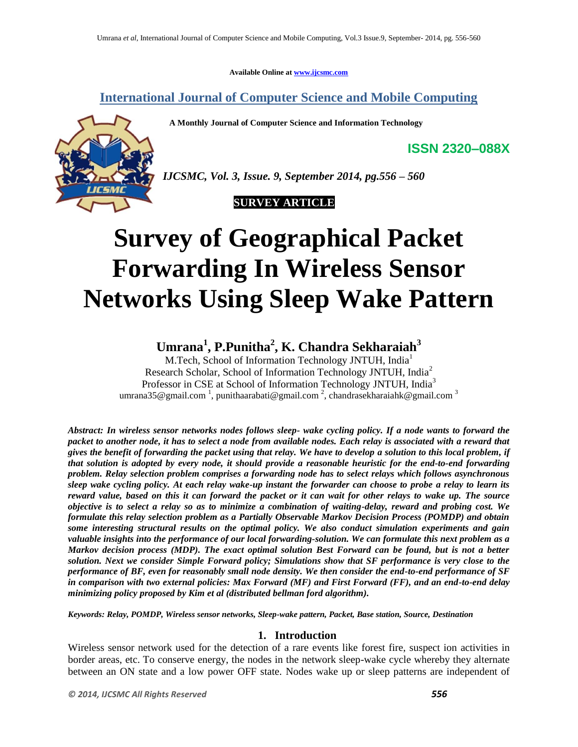**Available Online at www.ijcsmc.com**

**International Journal of Computer Science and Mobile Computing**

 **A Monthly Journal of Computer Science and Information Technology**



*IJCSMC, Vol. 3, Issue. 9, September 2014, pg.556 – 560*

### **SURVEY ARTICLE**

# **Survey of Geographical Packet Forwarding In Wireless Sensor Networks Using Sleep Wake Pattern**

## **Umrana<sup>1</sup> , P.Punitha<sup>2</sup> , K. Chandra Sekharaiah<sup>3</sup>**

M.Tech, School of Information Technology JNTUH, India<sup>1</sup> Research Scholar, School of Information Technology JNTUH, India<sup>2</sup> Professor in CSE at School of Information Technology JNTUH, India<sup>3</sup> umrana35@gmail.com<sup>1</sup>, punithaarabati@gmail.com<sup>2</sup>, chandrasekharaiahk@gmail.com<sup>3</sup>

*Abstract: In wireless sensor networks nodes follows sleep- wake cycling policy. If a node wants to forward the packet to another node, it has to select a node from available nodes. Each relay is associated with a reward that gives the benefit of forwarding the packet using that relay. We have to develop a solution to this local problem, if that solution is adopted by every node, it should provide a reasonable heuristic for the end-to-end forwarding problem. Relay selection problem comprises a forwarding node has to select relays which follows asynchronous sleep wake cycling policy. At each relay wake-up instant the forwarder can choose to probe a relay to learn its reward value, based on this it can forward the packet or it can wait for other relays to wake up. The source objective is to select a relay so as to minimize a combination of waiting-delay, reward and probing cost. We formulate this relay selection problem as a Partially Observable Markov Decision Process (POMDP) and obtain some interesting structural results on the optimal policy. We also conduct simulation experiments and gain valuable insights into the performance of our local forwarding-solution. We can formulate this next problem as a Markov decision process (MDP). The exact optimal solution Best Forward can be found, but is not a better solution. Next we consider Simple Forward policy; Simulations show that SF performance is very close to the performance of BF, even for reasonably small node density. We then consider the end-to-end performance of SF in comparison with two external policies: Max Forward (MF) and First Forward (FF), and an end-to-end delay minimizing policy proposed by Kim et al (distributed bellman ford algorithm).*

*Keywords: Relay, POMDP, Wireless sensor networks, Sleep-wake pattern, Packet, Base station, Source, Destination*

#### **1. Introduction**

Wireless sensor network used for the detection of a rare events like forest fire, suspect ion activities in border areas, etc. To conserve energy, the nodes in the network sleep-wake cycle whereby they alternate between an ON state and a low power OFF state. Nodes wake up or sleep patterns are independent of

**ISSN 2320–088X**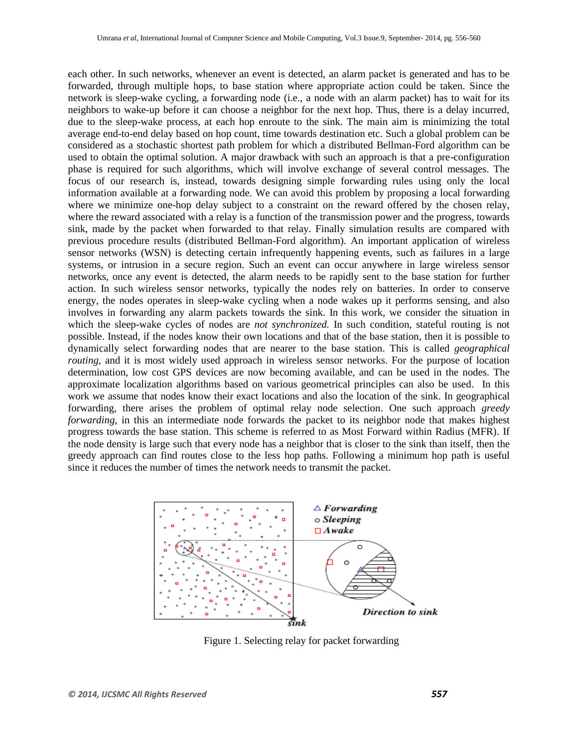each other. In such networks, whenever an event is detected, an alarm packet is generated and has to be forwarded, through multiple hops, to base station where appropriate action could be taken. Since the network is sleep-wake cycling, a forwarding node (i.e., a node with an alarm packet) has to wait for its neighbors to wake-up before it can choose a neighbor for the next hop. Thus, there is a delay incurred, due to the sleep-wake process, at each hop enroute to the sink. The main aim is minimizing the total average end-to-end delay based on hop count, time towards destination etc. Such a global problem can be considered as a stochastic shortest path problem for which a distributed Bellman-Ford algorithm can be used to obtain the optimal solution. A major drawback with such an approach is that a pre-configuration phase is required for such algorithms, which will involve exchange of several control messages. The focus of our research is, instead, towards designing simple forwarding rules using only the local information available at a forwarding node. We can avoid this problem by proposing a local forwarding where we minimize one-hop delay subject to a constraint on the reward offered by the chosen relay, where the reward associated with a relay is a function of the transmission power and the progress, towards sink, made by the packet when forwarded to that relay. Finally simulation results are compared with previous procedure results (distributed Bellman-Ford algorithm). An important application of wireless sensor networks (WSN) is detecting certain infrequently happening events, such as failures in a large systems, or intrusion in a secure region. Such an event can occur anywhere in large wireless sensor networks, once any event is detected, the alarm needs to be rapidly sent to the base station for further action. In such wireless sensor networks, typically the nodes rely on batteries. In order to conserve energy, the nodes operates in sleep-wake cycling when a node wakes up it performs sensing, and also involves in forwarding any alarm packets towards the sink. In this work, we consider the situation in which the sleep-wake cycles of nodes are *not synchronized.* In such condition, stateful routing is not possible. Instead, if the nodes know their own locations and that of the base station, then it is possible to dynamically select forwarding nodes that are nearer to the base station. This is called *geographical routing,* and it is most widely used approach in wireless sensor networks. For the purpose of location determination, low cost GPS devices are now becoming available, and can be used in the nodes. The approximate localization algorithms based on various geometrical principles can also be used. In this work we assume that nodes know their exact locations and also the location of the sink. In geographical forwarding, there arises the problem of optimal relay node selection. One such approach *greedy forwarding*, in this an intermediate node forwards the packet to its neighbor node that makes highest progress towards the base station. This scheme is referred to as Most Forward within Radius (MFR). If the node density is large such that every node has a neighbor that is closer to the sink than itself, then the greedy approach can find routes close to the less hop paths. Following a minimum hop path is useful since it reduces the number of times the network needs to transmit the packet.



Figure 1. Selecting relay for packet forwarding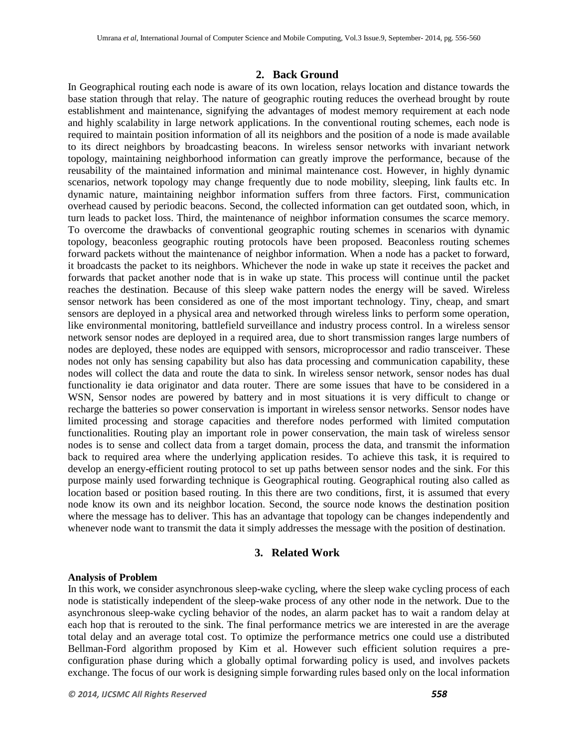#### **2. Back Ground**

In Geographical routing each node is aware of its own location, relays location and distance towards the base station through that relay. The nature of geographic routing reduces the overhead brought by route establishment and maintenance, signifying the advantages of modest memory requirement at each node and highly scalability in large network applications. In the conventional routing schemes, each node is required to maintain position information of all its neighbors and the position of a node is made available to its direct neighbors by broadcasting beacons. In wireless sensor networks with invariant network topology, maintaining neighborhood information can greatly improve the performance, because of the reusability of the maintained information and minimal maintenance cost. However, in highly dynamic scenarios, network topology may change frequently due to node mobility, sleeping, link faults etc. In dynamic nature, maintaining neighbor information suffers from three factors. First, communication overhead caused by periodic beacons. Second, the collected information can get outdated soon, which, in turn leads to packet loss. Third, the maintenance of neighbor information consumes the scarce memory. To overcome the drawbacks of conventional geographic routing schemes in scenarios with dynamic topology, beaconless geographic routing protocols have been proposed. Beaconless routing schemes forward packets without the maintenance of neighbor information. When a node has a packet to forward, it broadcasts the packet to its neighbors. Whichever the node in wake up state it receives the packet and forwards that packet another node that is in wake up state. This process will continue until the packet reaches the destination. Because of this sleep wake pattern nodes the energy will be saved. Wireless sensor network has been considered as one of the most important technology. Tiny, cheap, and smart sensors are deployed in a physical area and networked through wireless links to perform some operation, like environmental monitoring, battlefield surveillance and industry process control. In a wireless sensor network sensor nodes are deployed in a required area, due to short transmission ranges large numbers of nodes are deployed, these nodes are equipped with sensors, microprocessor and radio transceiver. These nodes not only has sensing capability but also has data processing and communication capability, these nodes will collect the data and route the data to sink. In wireless sensor network, sensor nodes has dual functionality ie data originator and data router. There are some issues that have to be considered in a WSN, Sensor nodes are powered by battery and in most situations it is very difficult to change or recharge the batteries so power conservation is important in wireless sensor networks. Sensor nodes have limited processing and storage capacities and therefore nodes performed with limited computation functionalities. Routing play an important role in power conservation, the main task of wireless sensor nodes is to sense and collect data from a target domain, process the data, and transmit the information back to required area where the underlying application resides. To achieve this task, it is required to develop an energy-efficient routing protocol to set up paths between sensor nodes and the sink. For this purpose mainly used forwarding technique is Geographical routing. Geographical routing also called as location based or position based routing. In this there are two conditions, first, it is assumed that every node know its own and its neighbor location. Second, the source node knows the destination position where the message has to deliver. This has an advantage that topology can be changes independently and whenever node want to transmit the data it simply addresses the message with the position of destination.

#### **3. Related Work**

#### **Analysis of Problem**

In this work, we consider asynchronous sleep-wake cycling, where the sleep wake cycling process of each node is statistically independent of the sleep-wake process of any other node in the network. Due to the asynchronous sleep-wake cycling behavior of the nodes, an alarm packet has to wait a random delay at each hop that is rerouted to the sink. The final performance metrics we are interested in are the average total delay and an average total cost. To optimize the performance metrics one could use a distributed Bellman-Ford algorithm proposed by Kim et al. However such efficient solution requires a preconfiguration phase during which a globally optimal forwarding policy is used, and involves packets exchange. The focus of our work is designing simple forwarding rules based only on the local information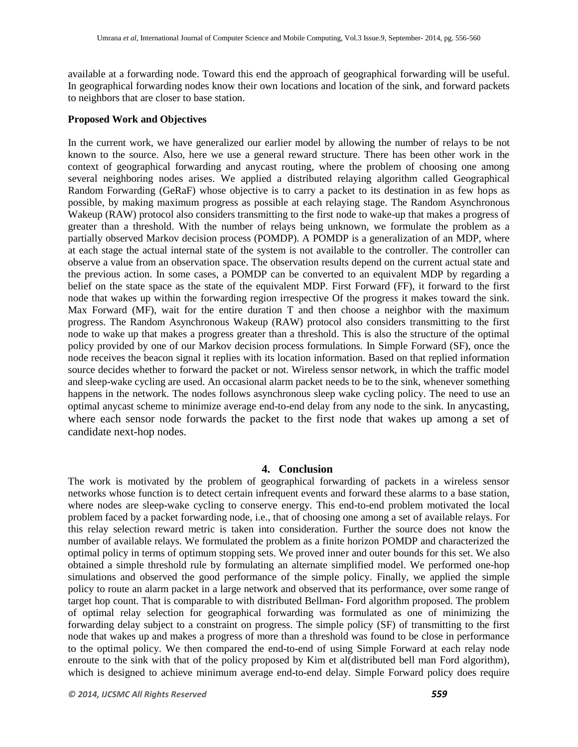available at a forwarding node. Toward this end the approach of geographical forwarding will be useful. In geographical forwarding nodes know their own locations and location of the sink, and forward packets to neighbors that are closer to base station.

#### **Proposed Work and Objectives**

In the current work, we have generalized our earlier model by allowing the number of relays to be not known to the source. Also, here we use a general reward structure. There has been other work in the context of geographical forwarding and anycast routing, where the problem of choosing one among several neighboring nodes arises. We applied a distributed relaying algorithm called Geographical Random Forwarding (GeRaF) whose objective is to carry a packet to its destination in as few hops as possible, by making maximum progress as possible at each relaying stage. The Random Asynchronous Wakeup (RAW) protocol also considers transmitting to the first node to wake-up that makes a progress of greater than a threshold. With the number of relays being unknown, we formulate the problem as a partially observed Markov decision process (POMDP). A POMDP is a generalization of an MDP, where at each stage the actual internal state of the system is not available to the controller. The controller can observe a value from an observation space. The observation results depend on the current actual state and the previous action. In some cases, a POMDP can be converted to an equivalent MDP by regarding a belief on the state space as the state of the equivalent MDP. First Forward (FF), it forward to the first node that wakes up within the forwarding region irrespective Of the progress it makes toward the sink. Max Forward (MF), wait for the entire duration T and then choose a neighbor with the maximum progress. The Random Asynchronous Wakeup (RAW) protocol also considers transmitting to the first node to wake up that makes a progress greater than a threshold. This is also the structure of the optimal policy provided by one of our Markov decision process formulations. In Simple Forward (SF), once the node receives the beacon signal it replies with its location information. Based on that replied information source decides whether to forward the packet or not. Wireless sensor network, in which the traffic model and sleep-wake cycling are used. An occasional alarm packet needs to be to the sink, whenever something happens in the network. The nodes follows asynchronous sleep wake cycling policy. The need to use an optimal anycast scheme to minimize average end-to-end delay from any node to the sink. In anycasting, where each sensor node forwards the packet to the first node that wakes up among a set of candidate next-hop nodes.

#### **4. Conclusion**

The work is motivated by the problem of geographical forwarding of packets in a wireless sensor networks whose function is to detect certain infrequent events and forward these alarms to a base station, where nodes are sleep-wake cycling to conserve energy. This end-to-end problem motivated the local problem faced by a packet forwarding node, i.e., that of choosing one among a set of available relays. For this relay selection reward metric is taken into consideration. Further the source does not know the number of available relays. We formulated the problem as a finite horizon POMDP and characterized the optimal policy in terms of optimum stopping sets. We proved inner and outer bounds for this set. We also obtained a simple threshold rule by formulating an alternate simplified model. We performed one-hop simulations and observed the good performance of the simple policy. Finally, we applied the simple policy to route an alarm packet in a large network and observed that its performance, over some range of target hop count. That is comparable to with distributed Bellman- Ford algorithm proposed. The problem of optimal relay selection for geographical forwarding was formulated as one of minimizing the forwarding delay subject to a constraint on progress. The simple policy (SF) of transmitting to the first node that wakes up and makes a progress of more than a threshold was found to be close in performance to the optimal policy. We then compared the end-to-end of using Simple Forward at each relay node enroute to the sink with that of the policy proposed by Kim et al(distributed bell man Ford algorithm), which is designed to achieve minimum average end-to-end delay. Simple Forward policy does require